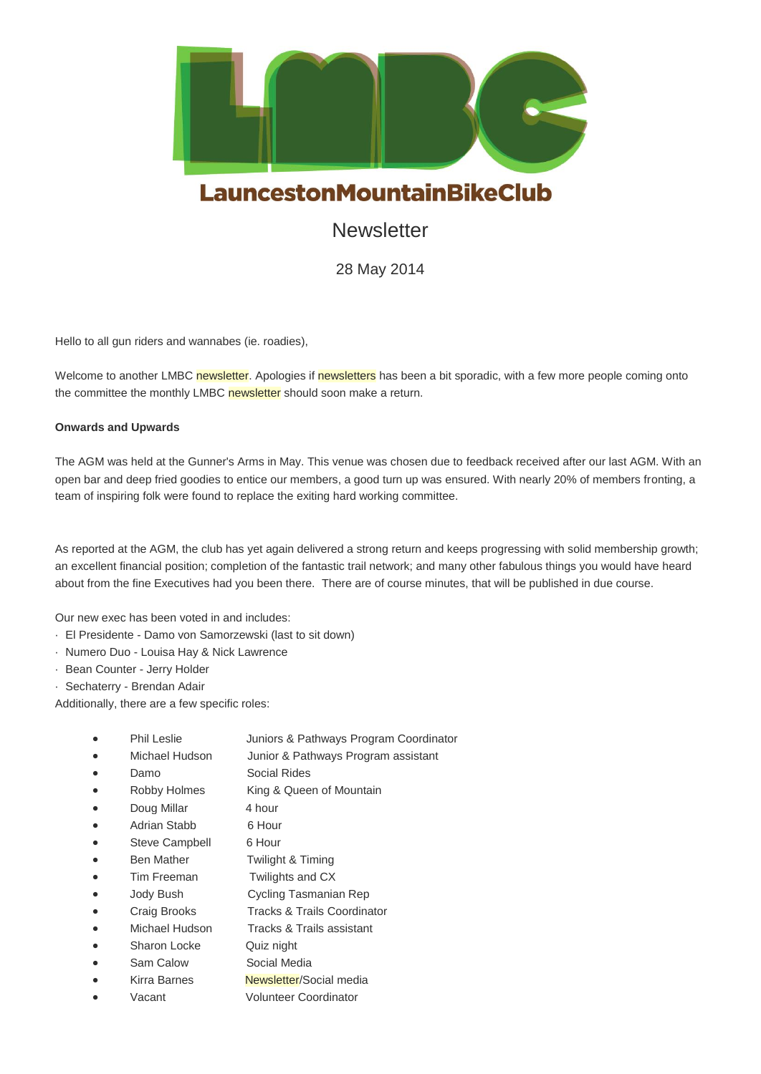

# **Newsletter**

28 May 2014

Hello to all gun riders and wannabes (ie. roadies),

Welcome to another LMBC newsletter. Apologies if newsletters has been a bit sporadic, with a few more people coming onto the committee the monthly LMBC newsletter should soon make a return.

## **Onwards and Upwards**

The AGM was held at the Gunner's Arms in May. This venue was chosen due to feedback received after our last AGM. With an open bar and deep fried goodies to entice our members, a good turn up was ensured. With nearly 20% of members fronting, a team of inspiring folk were found to replace the exiting hard working committee.

As reported at the AGM, the club has yet again delivered a strong return and keeps progressing with solid membership growth; an excellent financial position; completion of the fantastic trail network; and many other fabulous things you would have heard about from the fine Executives had you been there. There are of course minutes, that will be published in due course.

Our new exec has been voted in and includes:

- · El Presidente Damo von Samorzewski (last to sit down)
- · Numero Duo Louisa Hay & Nick Lawrence
- · Bean Counter Jerry Holder
- Sechaterry Brendan Adair

Additionally, there are a few specific roles:

- Phil Leslie Juniors & Pathways Program Coordinator
	- Michael Hudson Junior & Pathways Program assistant
- Damo Social Rides
- Robby Holmes King & Queen of Mountain
- Doug Millar 4 hour
- Adrian Stabb 6 Hour
- Steve Campbell 6 Hour
- Ben Mather Twilight & Timing
- Tim Freeman Twilights and CX
- Jody Bush Cycling Tasmanian Rep
- Craig Brooks Tracks & Trails Coordinator
- Michael Hudson Tracks & Trails assistant
- Sharon Locke Quiz night
- Sam Calow Social Media
- Kirra Barnes Newsletter/Social media
- Vacant Volunteer Coordinator